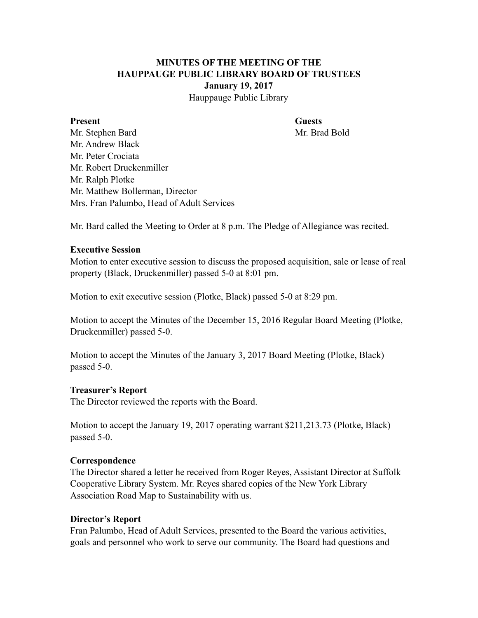# **MINUTES OF THE MEETING OF THE HAUPPAUGE PUBLIC LIBRARY BOARD OF TRUSTEES January 19, 2017**

Hauppauge Public Library

#### **Present Guests**

Mr. Stephen Bard Mr. Brad Bold Mr. Andrew Black Mr. Peter Crociata Mr. Robert Druckenmiller Mr. Ralph Plotke Mr. Matthew Bollerman, Director Mrs. Fran Palumbo, Head of Adult Services

Mr. Bard called the Meeting to Order at 8 p.m. The Pledge of Allegiance was recited.

#### **Executive Session**

Motion to enter executive session to discuss the proposed acquisition, sale or lease of real property (Black, Druckenmiller) passed 5-0 at 8:01 pm.

Motion to exit executive session (Plotke, Black) passed 5-0 at 8:29 pm.

Motion to accept the Minutes of the December 15, 2016 Regular Board Meeting (Plotke, Druckenmiller) passed 5-0.

Motion to accept the Minutes of the January 3, 2017 Board Meeting (Plotke, Black) passed 5-0.

#### **Treasurer's Report**

The Director reviewed the reports with the Board.

Motion to accept the January 19, 2017 operating warrant \$211,213.73 (Plotke, Black) passed 5-0.

## **Correspondence**

The Director shared a letter he received from Roger Reyes, Assistant Director at Suffolk Cooperative Library System. Mr. Reyes shared copies of the New York Library Association Road Map to Sustainability with us.

## **Director's Report**

Fran Palumbo, Head of Adult Services, presented to the Board the various activities, goals and personnel who work to serve our community. The Board had questions and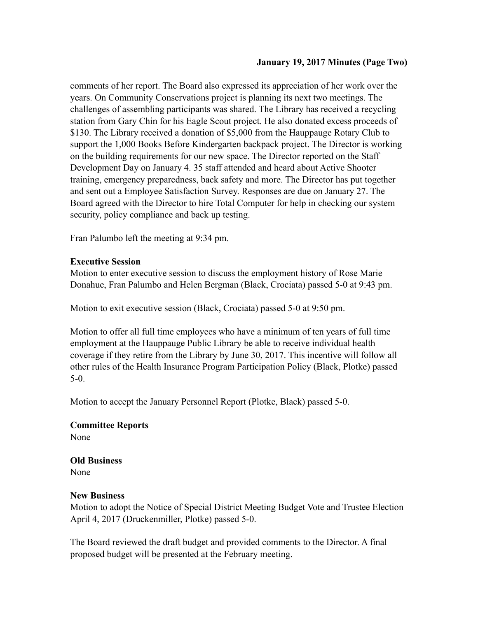#### **January 19, 2017 Minutes (Page Two)**

comments of her report. The Board also expressed its appreciation of her work over the years. On Community Conservations project is planning its next two meetings. The challenges of assembling participants was shared. The Library has received a recycling station from Gary Chin for his Eagle Scout project. He also donated excess proceeds of \$130. The Library received a donation of \$5,000 from the Hauppauge Rotary Club to support the 1,000 Books Before Kindergarten backpack project. The Director is working on the building requirements for our new space. The Director reported on the Staff Development Day on January 4. 35 staff attended and heard about Active Shooter training, emergency preparedness, back safety and more. The Director has put together and sent out a Employee Satisfaction Survey. Responses are due on January 27. The Board agreed with the Director to hire Total Computer for help in checking our system security, policy compliance and back up testing.

Fran Palumbo left the meeting at 9:34 pm.

#### **Executive Session**

Motion to enter executive session to discuss the employment history of Rose Marie Donahue, Fran Palumbo and Helen Bergman (Black, Crociata) passed 5-0 at 9:43 pm.

Motion to exit executive session (Black, Crociata) passed 5-0 at 9:50 pm.

Motion to offer all full time employees who have a minimum of ten years of full time employment at the Hauppauge Public Library be able to receive individual health coverage if they retire from the Library by June 30, 2017. This incentive will follow all other rules of the Health Insurance Program Participation Policy (Black, Plotke) passed 5-0.

Motion to accept the January Personnel Report (Plotke, Black) passed 5-0.

#### **Committee Reports**  None

# **Old Business**

None

## **New Business**

Motion to adopt the Notice of Special District Meeting Budget Vote and Trustee Election April 4, 2017 (Druckenmiller, Plotke) passed 5-0.

The Board reviewed the draft budget and provided comments to the Director. A final proposed budget will be presented at the February meeting.